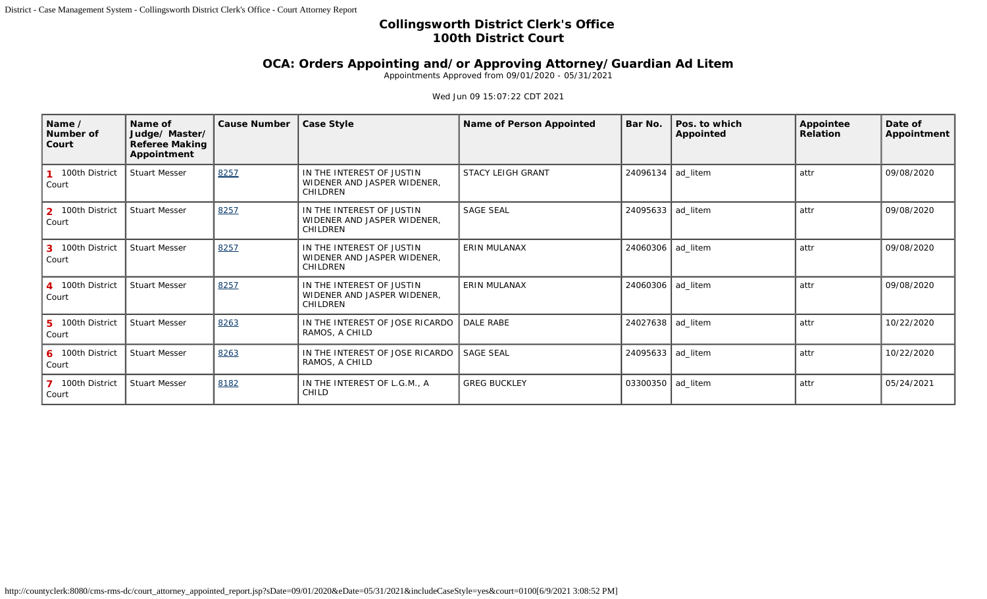## **Collingsworth District Clerk's Office 100th District Court**

## **OCA: Orders Appointing and/or Approving Attorney/Guardian Ad Litem**

Appointments Approved from 09/01/2020 - 05/31/2021

## Wed Jun 09 15:07:22 CDT 2021

| Name /<br>Number of<br>Court                       | Name of<br>Judge/ Master/<br><b>Referee Making</b><br>Appointment | <b>Cause Number</b> | <b>Case Style</b>                                                           | <b>Name of Person Appointed</b> | Bar No.             | Pos. to which<br><b>Appointed</b> | Appointee<br>Relation | Date of<br>Appointment |
|----------------------------------------------------|-------------------------------------------------------------------|---------------------|-----------------------------------------------------------------------------|---------------------------------|---------------------|-----------------------------------|-----------------------|------------------------|
| 100th District<br>Court                            | <b>Stuart Messer</b>                                              | 8257                | IN THE INTEREST OF JUSTIN<br>WIDENER AND JASPER WIDENER,<br>CHILDREN        | <b>STACY LEIGH GRANT</b>        | 24096134   ad_litem |                                   | attr                  | 09/08/2020             |
| 100th District<br>2 <sup>1</sup><br>Court          | <b>Stuart Messer</b>                                              | 8257                | IN THE INTEREST OF JUSTIN<br>WIDENER AND JASPER WIDENER,<br><b>CHILDREN</b> | <b>SAGE SEAL</b>                | 24095633 ad litem   |                                   | attr                  | 09/08/2020             |
| 100th District<br>$\mathbf{3}$<br>Court            | <b>Stuart Messer</b>                                              | 8257                | IN THE INTEREST OF JUSTIN<br>WIDENER AND JASPER WIDENER,<br><b>CHILDREN</b> | <b>ERIN MULANAX</b>             | 24060306   ad_litem |                                   | attr                  | 09/08/2020             |
| 4 100th District<br>Court                          | <b>Stuart Messer</b>                                              | 8257                | IN THE INTEREST OF JUSTIN<br>WIDENER AND JASPER WIDENER,<br>CHILDREN        | <b>ERIN MULANAX</b>             | 24060306   ad_litem |                                   | attr                  | 09/08/2020             |
| 100th District<br>5 <sup>1</sup><br>Court          | <b>Stuart Messer</b>                                              | 8263                | IN THE INTEREST OF JOSE RICARDO<br>RAMOS, A CHILD                           | <b>DALE RABE</b>                | 24027638 ad_litem   |                                   | attr                  | 10/22/2020             |
| 100th District<br>6<br>Court                       | <b>Stuart Messer</b>                                              | 8263                | IN THE INTEREST OF JOSE RICARDO<br>RAMOS, A CHILD                           | <b>SAGE SEAL</b>                | 24095633   ad_litem |                                   | attr                  | 10/22/2020             |
| 100th District<br>$\overline{\mathbf{z}}$<br>Court | <b>Stuart Messer</b>                                              | 8182                | IN THE INTEREST OF L.G.M., A<br>CHILD                                       | <b>GREG BUCKLEY</b>             | 03300350 ad_litem   |                                   | attr                  | 05/24/2021             |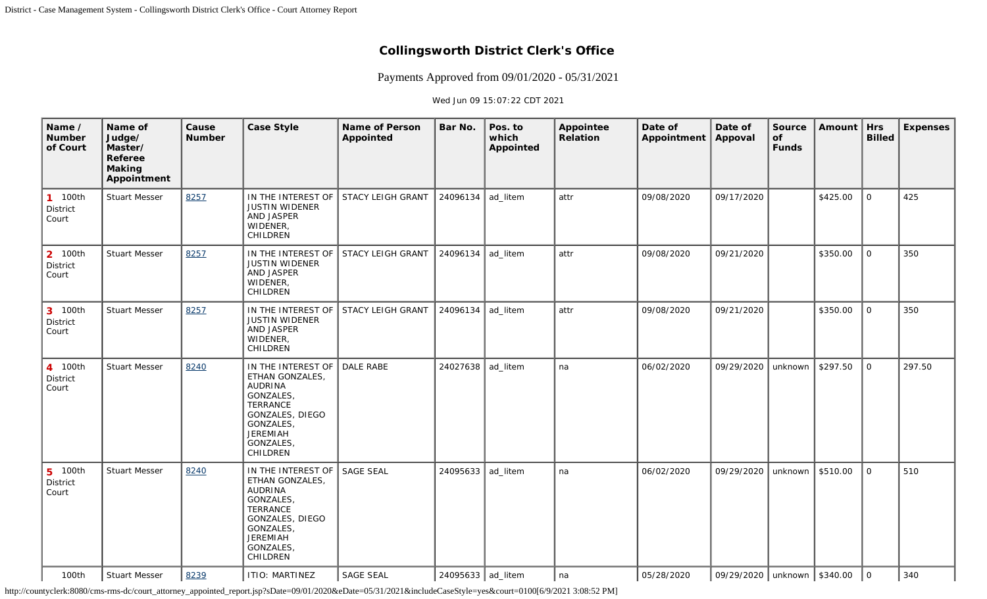## **Collingsworth District Clerk's Office**

Payments Approved from 09/01/2020 - 05/31/2021

Wed Jun 09 15:07:22 CDT 2021

| Name /<br><b>Number</b><br>of Court          | Name of<br>Judge/<br>Master/<br>Referee<br><b>Making</b><br>Appointment | Cause<br><b>Number</b> | <b>Case Style</b>                                                                                                                                                               | <b>Name of Person</b><br>Appointed | Bar No.           | Pos. to<br>which<br>Appointed | Appointee<br>Relation | Date of<br>Appointment | Date of<br>Appoval              | Source<br>of<br><b>Funds</b> | <b>Amount</b> | <b>Hrs</b><br><b>Billed</b> | <b>Expenses</b> |
|----------------------------------------------|-------------------------------------------------------------------------|------------------------|---------------------------------------------------------------------------------------------------------------------------------------------------------------------------------|------------------------------------|-------------------|-------------------------------|-----------------------|------------------------|---------------------------------|------------------------------|---------------|-----------------------------|-----------------|
| 100th<br>$\mathbf{1}$<br>District<br>Court   | <b>Stuart Messer</b>                                                    | 8257                   | IN THE INTEREST OF<br><b>JUSTIN WIDENER</b><br>AND JASPER<br>WIDENER,<br>CHILDREN                                                                                               | <b>STACY LEIGH GRANT</b>           | 24096134          | ad_litem                      | attr                  | 09/08/2020             | 09/17/2020                      |                              | \$425.00      | $\mathbf 0$                 | 425             |
| 100th<br>$\overline{2}$<br>District<br>Court | <b>Stuart Messer</b>                                                    | 8257                   | IN THE INTEREST OF<br><b>JUSTIN WIDENER</b><br>AND JASPER<br>WIDENER,<br>CHILDREN                                                                                               | <b>STACY LEIGH GRANT</b>           | 24096134          | ad_litem                      | attr                  | 09/08/2020             | 09/21/2020                      |                              | \$350.00      | $\mathbf{O}$                | 350             |
| 3 100th<br>District<br>Court                 | <b>Stuart Messer</b>                                                    | 8257                   | IN THE INTEREST OF<br><b>JUSTIN WIDENER</b><br>AND JASPER<br>WIDENER,<br>CHILDREN                                                                                               | STACY LEIGH GRANT                  | 24096134          | ad_litem                      | attr                  | 09/08/2020             | 09/21/2020                      |                              | \$350.00      | $\mathbf{O}$                | 350             |
| 4 100th<br>District<br>Court                 | <b>Stuart Messer</b>                                                    | 8240                   | IN THE INTEREST OF<br>ETHAN GONZALES,<br><b>AUDRINA</b><br>GONZALES,<br><b>TERRANCE</b><br>GONZALES, DIEGO<br><b>GONZALES</b><br><b>JEREMIAH</b><br><b>GONZALES</b><br>CHILDREN | <b>DALE RABE</b>                   | 24027638          | ad_litem                      | na                    | 06/02/2020             | 09/29/2020                      | unknown                      | \$297.50      | $\mathbf{O}$                | 297.50          |
| $5\phantom{1}$<br>100th<br>District<br>Court | <b>Stuart Messer</b>                                                    | 8240                   | IN THE INTEREST OF<br>ETHAN GONZALES,<br><b>AUDRINA</b><br>GONZALES,<br><b>TERRANCE</b><br>GONZALES, DIEGO<br><b>GONZALES</b><br><b>JEREMIAH</b><br>GONZALES,<br>CHILDREN       | <b>SAGE SEAL</b>                   | 24095633          | ad_litem                      | na                    | 06/02/2020             | 09/29/2020                      | unknown                      | \$510.00      | $\mathbf 0$                 | 510             |
| 100th                                        | <b>Stuart Messer</b>                                                    | 8239                   | <b>ITIO: MARTINEZ</b>                                                                                                                                                           | <b>SAGE SEAL</b>                   | 24095633 ad_litem |                               | na                    | 05/28/2020             | 09/29/2020   unknown   \$340.00 |                              |               | $\mathbf 0$                 | 340             |

http://countyclerk:8080/cms-rms-dc/court\_attorney\_appointed\_report.jsp?sDate=09/01/2020&eDate=05/31/2021&includeCaseStyle=yes&court=0100[6/9/2021 3:08:52 PM]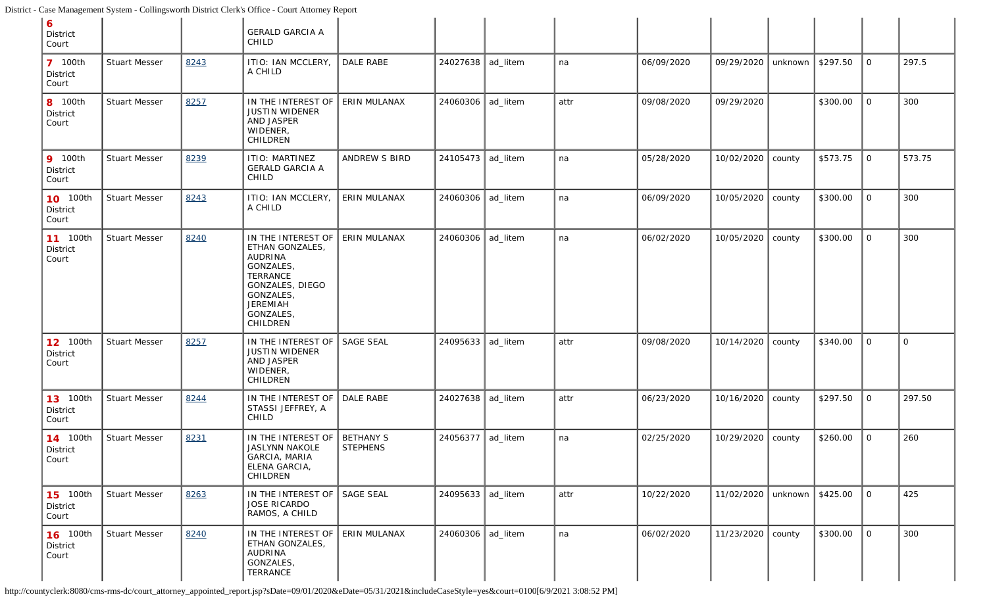| 6<br>District<br>Court               |                      |      | <b>GERALD GARCIA A</b><br>CHILD                                                                                                                       |                              |                   |          |      |            |            |                             |          |                |          |
|--------------------------------------|----------------------|------|-------------------------------------------------------------------------------------------------------------------------------------------------------|------------------------------|-------------------|----------|------|------------|------------|-----------------------------|----------|----------------|----------|
| <b>7</b> 100th<br>District<br>Court  | <b>Stuart Messer</b> | 8243 | ITIO: IAN MCCLERY,<br>A CHILD                                                                                                                         | DALE RABE                    | 24027638 ad_litem |          | na   | 06/09/2020 | 09/29/2020 | unknown                     | \$297.50 | $\mathbf{O}$   | 297.5    |
| 8 100th<br>District<br>Court         | <b>Stuart Messer</b> | 8257 | IN THE INTEREST OF<br><b>JUSTIN WIDENER</b><br>AND JASPER<br>WIDENER,<br>CHILDREN                                                                     | ERIN MULANAX                 | 24060306          | ad_litem | attr | 09/08/2020 | 09/29/2020 |                             | \$300.00 | $\overline{O}$ | 300      |
| <b>9</b> 100th<br>District<br>Court  | <b>Stuart Messer</b> | 8239 | <b>ITIO: MARTINEZ</b><br><b>GERALD GARCIA A</b><br>CHILD                                                                                              | <b>ANDREW S BIRD</b>         | 24105473          | ad_litem | na   | 05/28/2020 | 10/02/2020 | county                      | \$573.75 | 0              | 573.75   |
| <b>10</b> 100th<br>District<br>Court | <b>Stuart Messer</b> | 8243 | ITIO: IAN MCCLERY,<br>A CHILD                                                                                                                         | ERIN MULANAX                 | 24060306          | ad_litem | na   | 06/09/2020 | 10/05/2020 | county                      | \$300.00 | $\mathbf{O}$   | 300      |
| <b>11</b> 100th<br>District<br>Court | <b>Stuart Messer</b> | 8240 | IN THE INTEREST OF<br>ETHAN GONZALES,<br>AUDRINA<br><b>GONZALES.</b><br>TERRANCE<br>GONZALES, DIEGO<br>GONZALES,<br>JEREMIAH<br>GONZALES,<br>CHILDREN | ERIN MULANAX                 | 24060306          | ad_litem | na   | 06/02/2020 | 10/05/2020 | county                      | \$300.00 | 0              | 300      |
| <b>12</b> 100th<br>District<br>Court | <b>Stuart Messer</b> | 8257 | IN THE INTEREST OF<br><b>JUSTIN WIDENER</b><br>AND JASPER<br>WIDENER,<br>CHILDREN                                                                     | <b>SAGE SEAL</b>             | 24095633          | ad_litem | attr | 09/08/2020 | 10/14/2020 | county                      | \$340.00 | 0              | $\Omega$ |
| <b>13</b> 100th<br>District<br>Court | <b>Stuart Messer</b> | 8244 | IN THE INTEREST OF<br>STASSI JEFFREY, A<br>CHILD                                                                                                      | DALE RABE                    | 24027638          | ad_litem | attr | 06/23/2020 | 10/16/2020 | county                      | \$297.50 | 0              | 297.50   |
| <b>14</b> 100th<br>District<br>Court | <b>Stuart Messer</b> | 8231 | IN THE INTEREST OF<br>JASLYNN NAKOLE<br>GARCIA, MARIA<br>ELENA GARCIA,<br>CHILDREN                                                                    | BETHANY S<br><b>STEPHENS</b> | 24056377          | ad_litem | na   | 02/25/2020 | 10/29/2020 | county                      | \$260.00 | $\Omega$       | 260      |
| <b>15</b> 100th<br>District<br>Court | <b>Stuart Messer</b> | 8263 | IN THE INTEREST OF<br><b>JOSE RICARDO</b><br>RAMOS, A CHILD                                                                                           | <b>SAGE SEAL</b>             | 24095633          | ad_litem | attr | 10/22/2020 | 11/02/2020 | unknown $\frac{1}{2}425.00$ |          | $\overline{O}$ | 425      |
| <b>16</b> 100th<br>District<br>Court | <b>Stuart Messer</b> | 8240 | IN THE INTEREST OF<br>ETHAN GONZALES,<br>AUDRINA<br>GONZALES,<br>TERRANCE                                                                             | ERIN MULANAX                 | 24060306          | ad_litem | na   | 06/02/2020 | 11/23/2020 | county                      | \$300.00 | $\overline{O}$ | 300      |

http://countyclerk:8080/cms-rms-dc/court\_attorney\_appointed\_report.jsp?sDate=09/01/2020&eDate=05/31/2021&includeCaseStyle=yes&court=0100[6/9/2021 3:08:52 PM]